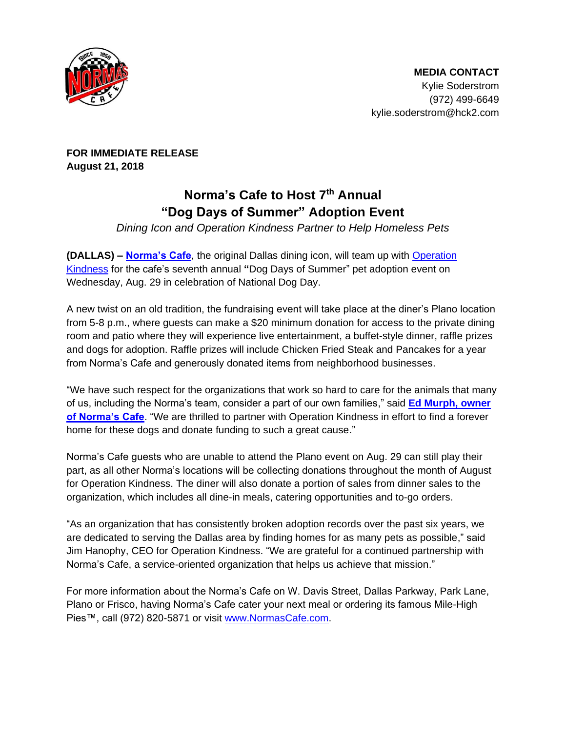

**FOR IMMEDIATE RELEASE August 21, 2018**

## **Norma's Cafe to Host 7th Annual "Dog Days of Summer" Adoption Event**

*Dining Icon and Operation Kindness Partner to Help Homeless Pets*

**(DALLAS) – [Norma's Cafe](http://normascafe.com/)**, the original Dallas dining icon, will team up with [Operation](http://www.operationkindness.org/)  [Kindness](http://www.operationkindness.org/) for the cafe's seventh annual **"**Dog Days of Summer" pet adoption event on Wednesday, Aug. 29 in celebration of National Dog Day.

A new twist on an old tradition, the fundraising event will take place at the diner's Plano location from 5-8 p.m., where guests can make a \$20 minimum donation for access to the private dining room and patio where they will experience live entertainment, a buffet-style dinner, raffle prizes and dogs for adoption. Raffle prizes will include Chicken Fried Steak and Pancakes for a year from Norma's Cafe and generously donated items from neighborhood businesses.

"We have such respect for the organizations that work so hard to care for the animals that many of us, including the Norma's team, consider a part of our own families," said **[Ed Murph, owner](http://www.normascafe.com/about/)  [of Norma's Cafe](http://www.normascafe.com/about/)**. "We are thrilled to partner with Operation Kindness in effort to find a forever home for these dogs and donate funding to such a great cause."

Norma's Cafe guests who are unable to attend the Plano event on Aug. 29 can still play their part, as all other Norma's locations will be collecting donations throughout the month of August for Operation Kindness. The diner will also donate a portion of sales from dinner sales to the organization, which includes all dine-in meals, catering opportunities and to-go orders.

"As an organization that has consistently broken adoption records over the past six years, we are dedicated to serving the Dallas area by finding homes for as many pets as possible," said Jim Hanophy, CEO for Operation Kindness. "We are grateful for a continued partnership with Norma's Cafe, a service-oriented organization that helps us achieve that mission."

For more information about the Norma's Cafe on W. Davis Street, Dallas Parkway, Park Lane, Plano or Frisco, having Norma's Cafe cater your next meal or ordering its famous Mile-High Pies™, call (972) 820-5871 or visit [www.NormasCafe.com.](http://www.normascafe.com/)